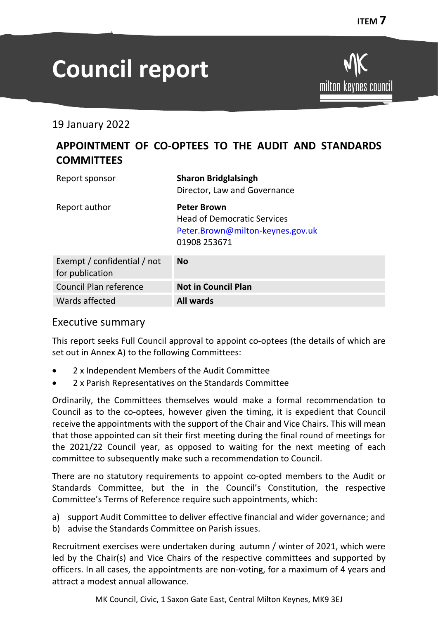milton keynes council

# **Council report**

19 January 2022

## **APPOINTMENT OF CO-OPTEES TO THE AUDIT AND STANDARDS COMMITTEES**

| Report sponsor                                 | <b>Sharon Bridglalsingh</b><br>Director, Law and Governance                                                  |
|------------------------------------------------|--------------------------------------------------------------------------------------------------------------|
| Report author                                  | <b>Peter Brown</b><br><b>Head of Democratic Services</b><br>Peter.Brown@milton-keynes.gov.uk<br>01908 253671 |
| Exempt / confidential / not<br>for publication | <b>No</b>                                                                                                    |
| <b>Council Plan reference</b>                  | <b>Not in Council Plan</b>                                                                                   |
| Wards affected                                 | <b>All wards</b>                                                                                             |

## Executive summary

This report seeks Full Council approval to appoint co-optees (the details of which are set out in Annex A) to the following Committees:

- 2 x Independent Members of the Audit Committee
- 2 x Parish Representatives on the Standards Committee

Ordinarily, the Committees themselves would make a formal recommendation to Council as to the co-optees, however given the timing, it is expedient that Council receive the appointments with the support of the Chair and Vice Chairs. This will mean that those appointed can sit their first meeting during the final round of meetings for the 2021/22 Council year, as opposed to waiting for the next meeting of each committee to subsequently make such a recommendation to Council.

There are no statutory requirements to appoint co-opted members to the Audit or Standards Committee, but the in the Council's Constitution, the respective Committee's Terms of Reference require such appointments, which:

- a) support Audit Committee to deliver effective financial and wider governance; and
- b) advise the Standards Committee on Parish issues.

Recruitment exercises were undertaken during autumn / winter of 2021, which were led by the Chair(s) and Vice Chairs of the respective committees and supported by officers. In all cases, the appointments are non-voting, for a maximum of 4 years and attract a modest annual allowance.

MK Council, Civic, 1 Saxon Gate East, Central Milton Keynes, MK9 3EJ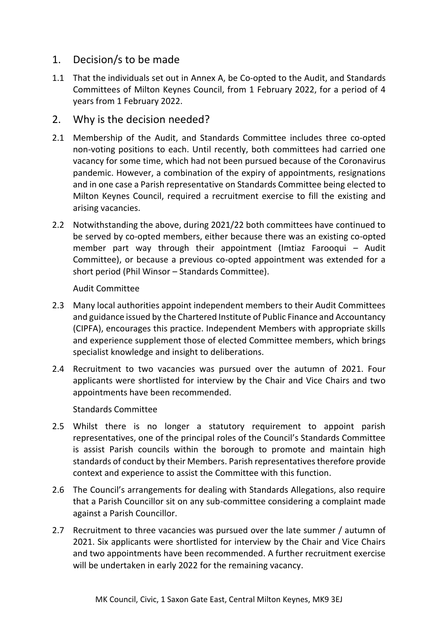## 1. Decision/s to be made

1.1 That the individuals set out in Annex A, be Co-opted to the Audit, and Standards Committees of Milton Keynes Council, from 1 February 2022, for a period of 4 years from 1 February 2022.

## 2. Why is the decision needed?

- 2.1 Membership of the Audit, and Standards Committee includes three co-opted non-voting positions to each. Until recently, both committees had carried one vacancy for some time, which had not been pursued because of the Coronavirus pandemic. However, a combination of the expiry of appointments, resignations and in one case a Parish representative on Standards Committee being elected to Milton Keynes Council, required a recruitment exercise to fill the existing and arising vacancies.
- 2.2 Notwithstanding the above, during 2021/22 both committees have continued to be served by co-opted members, either because there was an existing co-opted member part way through their appointment (Imtiaz Farooqui – Audit Committee), or because a previous co-opted appointment was extended for a short period (Phil Winsor – Standards Committee).

#### Audit Committee

- 2.3 Many local authorities appoint independent members to their Audit Committees and guidance issued by the Chartered Institute of Public Finance and Accountancy (CIPFA), encourages this practice. Independent Members with appropriate skills and experience supplement those of elected Committee members, which brings specialist knowledge and insight to deliberations.
- 2.4 Recruitment to two vacancies was pursued over the autumn of 2021. Four applicants were shortlisted for interview by the Chair and Vice Chairs and two appointments have been recommended.

#### Standards Committee

- 2.5 Whilst there is no longer a statutory requirement to appoint parish representatives, one of the principal roles of the Council's Standards Committee is assist Parish councils within the borough to promote and maintain high standards of conduct by their Members. Parish representatives therefore provide context and experience to assist the Committee with this function.
- 2.6 The Council's arrangements for dealing with Standards Allegations, also require that a Parish Councillor sit on any sub-committee considering a complaint made against a Parish Councillor.
- 2.7 Recruitment to three vacancies was pursued over the late summer / autumn of 2021. Six applicants were shortlisted for interview by the Chair and Vice Chairs and two appointments have been recommended. A further recruitment exercise will be undertaken in early 2022 for the remaining vacancy.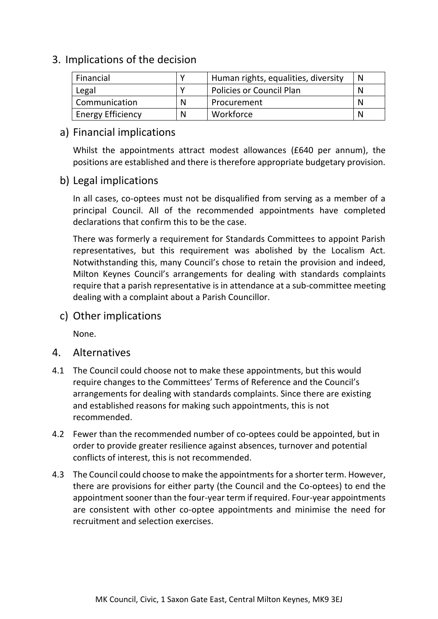## 3. Implications of the decision

| Financial                |   | Human rights, equalities, diversity |  |
|--------------------------|---|-------------------------------------|--|
| Legal                    |   | <b>Policies or Council Plan</b>     |  |
| Communication            | N | Procurement                         |  |
| <b>Energy Efficiency</b> | N | Workforce                           |  |

## a) Financial implications

Whilst the appointments attract modest allowances (£640 per annum), the positions are established and there is therefore appropriate budgetary provision.

## b) Legal implications

In all cases, co-optees must not be disqualified from serving as a member of a principal Council. All of the recommended appointments have completed declarations that confirm this to be the case.

There was formerly a requirement for Standards Committees to appoint Parish representatives, but this requirement was abolished by the Localism Act. Notwithstanding this, many Council's chose to retain the provision and indeed, Milton Keynes Council's arrangements for dealing with standards complaints require that a parish representative is in attendance at a sub-committee meeting dealing with a complaint about a Parish Councillor.

c) Other implications

None.

- 4. Alternatives
- 4.1 The Council could choose not to make these appointments, but this would require changes to the Committees' Terms of Reference and the Council's arrangements for dealing with standards complaints. Since there are existing and established reasons for making such appointments, this is not recommended.
- 4.2 Fewer than the recommended number of co-optees could be appointed, but in order to provide greater resilience against absences, turnover and potential conflicts of interest, this is not recommended.
- 4.3 The Council could choose to make the appointments for a shorter term. However, there are provisions for either party (the Council and the Co-optees) to end the appointment sooner than the four-year term if required. Four-year appointments are consistent with other co-optee appointments and minimise the need for recruitment and selection exercises.